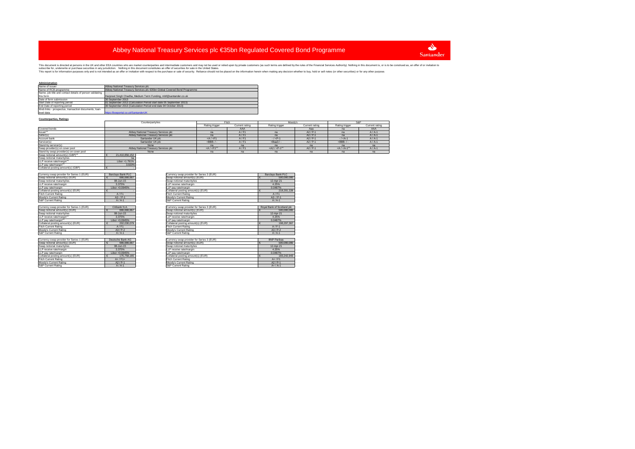

This report is for information purposes only and is not intended as an offer or invitation with respect to the purchase or sale of security. Reliance should not be placed on the information herein when making any decision This document is direct at present in the Warehout the whole armater counterpatios and intermedial eustomers and may not be used the fellow on the maske of the financial Services and the other states in the United States.

| Administration                                           |                                                                          |
|----------------------------------------------------------|--------------------------------------------------------------------------|
| Name of issuer                                           | Abbey National Treasury Services plc                                     |
| Name of RCB programme                                    | Abbey National Treasury Services plc €35bn Global Covered Bond Programme |
| Name, job title and contact details of person validating |                                                                          |
| this form                                                | Harpreet Singh Chadha, Medium Term Funding, mbf@santander.co.uk          |
| Date of form submission                                  | 30 September 2013                                                        |
| Start Date of reporting period                           | 01 September 2013 (Calculation Period start date 05 September 2013)      |
| End Date of reporting period                             | 30 September 2013 (Calculation Period end date 04 October 2013)          |
| Web links - prospectus, transaction documents, loan-     |                                                                          |
| level data                                               | https://boeportal.co.uk/SantanderUK                                      |
|                                                          |                                                                          |

#### **Counterparties, Ratings**

notional maturity/ies

|                                              | Counterparty/ies                     | Fitch<br>Moody's              |                |                                  | S&P            |                                |                |
|----------------------------------------------|--------------------------------------|-------------------------------|----------------|----------------------------------|----------------|--------------------------------|----------------|
|                                              |                                      | Rating trigger                | Current rating | Rating trigger                   | Current rating | Rating trigger                 | Current rating |
| Covered bonds                                |                                      |                               | AAA            |                                  | Aaa            | na                             | AAA            |
| Issuer                                       | Abbey National Treasury Services plc |                               | $A$ / $F1$     |                                  | $A2/P-1$       |                                | $A/A-1$        |
| Seller(s)                                    | Abbey National Treasury Services plc | na                            | A/F1           | na                               | $A2/P-1$       | na                             | $A/A-1$        |
| Account bank                                 | Santander UK plc                     | $<$ A / $<$ F1                | A/F1           | $-(P-1)$                         | $A2/P-1$       | $-1 < A-1$                     | $A/A-1$        |
| Servicer(s)                                  | Santander UK plc                     | $<$ BBB- $/$                  | A/F1           | $<$ Baa3 / -                     | $A2/P-1$       | $<$ BBB- $/$ -                 | $A/A-1$        |
| Stand-by servicer(s)                         | None                                 | no                            |                |                                  | na             |                                |                |
| Swap provider(s) on cover pool               | Abbey National Treasury Services plc | $<$ A / $<$ F1 <sup>(3)</sup> | A/F1           | $<$ A2 / $<$ P-1 <sup>(3</sup> ) | $A2/P-1$       | $<$ A / $<$ A-1 <sup>(3)</sup> | $A/A-1$        |
| Stand-by swap provider(s) on cover pool      | None                                 |                               |                |                                  | na             |                                |                |
| Swap notional amount(s) (GBP) <sup>(3)</sup> | 21.410.856.152                       |                               |                |                                  |                |                                |                |

| LLP pay rate/margin <sup>(4)</sup>        | 3.920%                   |                                           |                     |
|-------------------------------------------|--------------------------|-------------------------------------------|---------------------|
| Collateral posting amount(s) (GBP)        | €                        |                                           |                     |
|                                           |                          |                                           |                     |
| Currency swap provider for Series 1 (EUR) | <b>Barclays Bank PLC</b> | Currency swap provider for Series 3 (EUR) | <b>Barclays Ban</b> |
| Swap notional amount(s) (EUR)             | 666,666,667              | Swap notional amount(s) (EUR)             | €                   |
| Swap notional maturity/ies                | 08-Jun-15                | Swap notional maturity/ies                | 12-Apr-2            |
| LLP receive rate/margin                   | 3.375%                   | LLP receive rate/margin                   | 4.25%               |
| LLP pay rate/margin                       | Libor +0.0945%           | LLP pay rate/margin                       | 0.0487%             |
| Collateral posting amount(s) (EUR)        |                          | Collateral posting amount(s) (EUR)        | $\overline{2}$<br>€ |
| <b>Fitch Current Rating</b>               | A/F1                     | <b>Fitch Current Rating</b>               | A/F1                |
| Moody's Current Rating                    | $A2 - / P - 1$           | Moody's Current Rating                    | $A2 - / P -$        |
| S&P Current Rating                        | $A/A-1$                  | <b>S&amp;P Current Rating</b>             | $A/A-1$             |
|                                           |                          |                                           |                     |
| Currency swap provider for Series 1 (EUR) | Citibank N A             | Currency swap provider for Series 3 (EUR) | Royal Bank of So    |
| Swap notional amount(s) (EUR)             | 666,666,667<br>€         | Swap notional amount(s) (EUR)             | €                   |
| Swap notional maturity/ies                | 08-Jun-15                | Swap notional maturity/ies                | 12-Apr-2            |
| LLP receive rate/margin(2)                | 3.375%                   | LLP receive rate/margin                   | 4.25%               |
| IIP nay rate/margin(2)                    | Libor +0.0945%           | IIP nav rate/marnin                       | 0.04879             |
| Collateral posting amount(s) (EUR)        | 202.030.079              | Collateral posting amount(s) (EUR)        | €                   |
| <b>Fitch Current Rating</b>               | $A$ / $F1$               | <b>Fitch Current Rating</b>               | $A/F-1$             |
| Moody's Current Rating                    | $A3/P-2$                 | Moody's Current Rating                    | $A3/P-2$            |
| S&P Current Rating                        | $A/A-1$                  | S&P Current Rating                        | $A/A-1$             |
|                                           |                          |                                           |                     |
| Currency swap provider for Series 1 (EUR) | Deutsche Bank AG         | Currency swap provider for Series 3 (EUR) | <b>BNP Parit</b>    |
| Swap notional amount(s) (EUR)             | 666,666,667              | Swap notional amount(s) (EUR)             | €<br>$\mathbf{r}$   |
| Swap notional maturity/ies                | 08-Jun-15                | Swap notional maturity/ies                | 12-Apr-2            |
| LLP receive rate/margin                   | 3.375%                   | LLP receive rate/margin                   | 4.25%               |
| LLP pay rate/margin                       | Libor +0.0945%           | LLP pay rate/margin                       | 0.04879             |
| Collateral posting amount(s) (EUR)        | 175,758,165              | Collateral posting amount(s) (EUR)        | €                   |
| Fitch Current Rating                      | $A+ / F1+$               | <b>Fitch Current Rating</b>               | $A+$ / F1           |
| Moody's Current Rating                    | $A2/P-1$                 | Moody's Current Rating                    | $A2/P-1$            |
| S&P Current Rating                        | $A/A-1$                  | S&P Current Rating                        | $A+ / A-$           |
|                                           |                          |                                           |                     |

s na matangan na matangan na matangan na matangan na matangan na matangan na matangan na matangan na matangan na ma LLP receive rate/margin<sup>(4)</sup> and the contract of the contract of the contract of the contract of the contract of the contract of the contract of the contract of the contract of the contract of the contract of the contract

| Currency swap provider for Series 1 (EUR) | Barclays Bank PLC            | Currency swap provider for Series 3 (EUR) | Barclays Bank PLC               |
|-------------------------------------------|------------------------------|-------------------------------------------|---------------------------------|
| Swap notional amount(s) (EUR)             | 666,666,667                  | Swap notional amount(s) (EUR)             | 500.000.000                     |
| Swap notional maturity/ies                | 08-Jun-15                    | Swap notional maturity/ies                | 12-Apr-21                       |
| LLP receive rate/margin                   | 3.375%                       | LLP receive rate/margin                   | 4 25%                           |
| LLP pay rate/margin                       | Libor +0.0945%               | LP pay rate/margin                        | 0.0487%                         |
| Collateral posting amount(s) (EUR)        |                              | Collateral posting amount(s) (EUR)        | 218.201.228                     |
| Fitch Current Rating                      | A/F1                         | <b>Fitch Current Rating</b>               | A/F1                            |
| Moody's Current Rating                    | $A2 - / P - 1$               | Moody's Current Rating                    | $A2 - / P - 1$                  |
| S&P Current Rating                        | $A/A-1$                      | S&P Current Rating                        | $A/A-1$                         |
|                                           |                              |                                           |                                 |
| Currency swap provider for Series 1 (EUR) | Citibank N.A.                | Currency swap provider for Series 3 (EUR) | Royal Bank of Scotland plc      |
| Swap notional amount(s) (EUR)             | 666,666,667                  | Swap notional amount(s) (EUR)             | 500.000.000                     |
| Swap notional maturity/ies                | 08-Jun-15                    | Swap notional maturity/ies                | 12-Apr-21                       |
| LLP receive rate/margin(2)                | 3.375%                       | LP receive rate/margin                    | 4 25%                           |
| LLP pay rate/margin <sup>(2)</sup>        | Libor +0.0945%               | I P nay rate/marnin                       | 0.0487%                         |
| Collateral posting amount(s) (EUR)        | 202.030.079<br>€             | Collateral posting amount(s) (EUR)        | 198.297.367<br>€                |
| Fitch Current Rating                      | $A$ / $F1$                   | <b>Fitch Current Rating</b>               | $A$ / $F-1$                     |
| Moody's Current Rating                    | $A3/P-2$                     | Moody's Current Rating                    | $A3/P-2$                        |
| S&P Current Rating                        | $A/A-1$                      | S&P Current Rating                        | $A/A-1$                         |
|                                           |                              |                                           |                                 |
| Currency swap provider for Series 1 (EUR) | Deutsche Bank AG             | Currency swap provider for Series 3 (EUR) | <b>BNP Paribas</b>              |
| Swap notional amount(s) (EUR)             | 666.666.667                  | Swap notional amount(s) (EUR)             | 500.000.000                     |
| Swap notional maturity/ies                | 08-Jun-15                    | Swap notional maturity/ies                | 12-Apr-21                       |
| LLP receive rate/margin                   | 3.375%                       | LP receive rate/margin                    | 4 25%                           |
| LLP pay rate/margin                       | Libor +0.0945%               | LP pay rate/margin                        | 0.0487%                         |
| Collateral posting amount(s) (EUR)        | 175,758,165                  | Collateral posting amount(s) (EUR)        | 183,242,943                     |
| Fitch Current Rating                      | $A+$ / $F1+$                 | <b>Fitch Current Rating</b>               | $A+$ / $F1$                     |
| Moody's Currant Rating                    | $\Delta 2$ / $\mathrm{P}$ -1 | Moody's Current Reting                    | $\Delta 2$ / $\mathrm{P}_{2}$ 1 |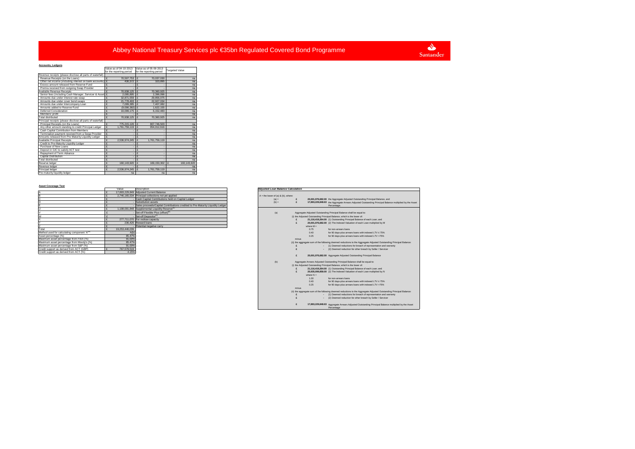#### **Accounts, Ledgers**

| Accounts, Leagers                                           |   |                          |                          |                             |
|-------------------------------------------------------------|---|--------------------------|--------------------------|-----------------------------|
|                                                             |   | Value as of 04-10-2013   | Value as of 05-09-2013   | <b>Targeted Value</b>       |
|                                                             |   | for the reporting period | for the reporting period |                             |
| Revenue receipts (please disclose all parts of waterfall)   |   |                          |                          |                             |
| Revenue Receipts (on the Loans)                             | £ | 70.507.753 £             | 70.037.030               | na                          |
| Other net income (including interest on bank accounts) E    |   | 430.372                  | $\mathbf{f}$<br>323.895  | na                          |
| Excess amount released from Reserve Fund                    | £ |                          |                          | na                          |
| Premia received from outgoing Swap Provider                 | £ |                          |                          | na                          |
| Available Revenue Receipts                                  | £ | 70.938.125               | ç<br>70.360.925          | na                          |
| Senior fees (including Cash Manager, Servicer & Asset £     |   | 2.095.895                | ç<br>2.396.096           | na                          |
| Amounts due under interest rate swan                        | ç | 32.871.559               | ¢<br>29.856.075          | na                          |
| Amounts due under cover bond swaps                          | £ | 21,778,493 £             | 22.927.034               | na                          |
| Amounts due under Intercompany Loan                         | ç | 7.099.385 £              | 7.407.082                | na                          |
| Amounts added to Reserve Fund                               | £ | $(9,006,382)$ £          | 1.622.155                | na                          |
| Deferred Consideration                                      | ç | 16.099.175 £             | 6.152.483                | na                          |
| Members' profit                                             | £ |                          | ¢                        | na                          |
| Total distributed                                           | ç | 70.938.125 £             | 70.360.925               | na                          |
| Principal receipts (please disclose all parts of waterfall) |   |                          |                          |                             |
| Principal Receipts (on the Loans)                           | £ | 775.215.126 £            | 807.746.503              | na                          |
| Any other amount standing to credit Principal Ledger        | £ | 1.761.759.119            | 954.012.616              | na                          |
| Cash Capital Contribution from Members                      | £ |                          |                          | na                          |
| Termination payment received from a Swap Provider           | £ |                          | ç                        | na                          |
| Amounts released from Pre-Maturity Liquidity Ledger         | £ |                          | ç                        | na                          |
| <b>Available Principal Receipts</b>                         | £ | 2.536.974.245            | 1.761.759.119<br>ç       | na                          |
| Credit to Pre-Maturity Liquidity Ledger                     | £ |                          |                          | na                          |
| Purchase of New Loans                                       | ç |                          | ç                        | na                          |
| Deposit in GIC to satisfy ACT test                          | £ |                          | ç                        | na                          |
| Repayment of Term Advance                                   | £ |                          | ç<br>٠                   | na                          |
| Capital Distribution                                        | £ |                          | ç                        | na                          |
| <b>Total distributed</b>                                    | £ |                          | ç                        | na                          |
| Reserve ledger                                              | £ | 160.143.920              | ç<br>169.150.302         | $\mathbf{f}$<br>160.143.920 |
| Revenue ledger                                              | £ |                          |                          | na                          |
| Principal ledger                                            | £ | 2.536.974.245            | 1.761.759.119<br>ç       | na                          |
| Pre-maturity liquidity ledger                               |   | na                       | na                       | na                          |

#### **Asset Coverage Test**

|                                                        | Value          | Description                                                                    |  | Adjusted Loan Balance Calculation       |       |             |                                                                                               |  |
|--------------------------------------------------------|----------------|--------------------------------------------------------------------------------|--|-----------------------------------------|-------|-------------|-----------------------------------------------------------------------------------------------|--|
|                                                        |                | 17,893,229,849 Adjusted Current Balance                                        |  |                                         |       |             |                                                                                               |  |
|                                                        |                | 2,746,165,534 Principal collections not yet applied                            |  | $A =$ the lower of (a) $\&$ (b), where: |       |             |                                                                                               |  |
|                                                        |                | Cash Capital Contributions held on Capital Ledger                              |  | $(a) =$                                 |       |             | 20,001,976,682.00 the Aggregate Adjusted Outstanding Principal Balance, and                   |  |
|                                                        |                | Substitution assets                                                            |  | $(b) =$                                 |       |             | 17,893,229,848.63 the Aggregate Arrears Adjusted Outstanding Principal Bala                   |  |
|                                                        |                | Sales proceeds/Capital Contributions credited to Pre-Maturity Liquidity Ledger |  |                                         |       |             | Percentage.                                                                                   |  |
|                                                        |                | 1.108.001.848 Supplemental Liquidity Reserve <sup>(5)</sup>                    |  |                                         |       |             |                                                                                               |  |
|                                                        |                | - Set-off Flexible Plus (offset) <sup>(6)</sup>                                |  | (a)                                     |       |             | Aggregate Adjusted Outstanding Principal Balance shall be equal to:                           |  |
|                                                        |                | - Set-off Depositor(7)                                                         |  |                                         |       |             | (i) the Adjusted Outstanding Principal Balance, which is the lower of:                        |  |
|                                                        |                | 277.711.070 For redraw capacity                                                |  |                                         |       |             | 21.116.419.264.00 (1) Outstanding Principal Balance of each Loan: and                         |  |
|                                                        |                | 236,426 Reward loans                                                           |  |                                         |       |             | 20.001.976.682.00 (2) The Indexed Valuation of each Loan multiplied by M                      |  |
|                                                        |                | Potential negative carry                                                       |  |                                         |       | where $M =$ |                                                                                               |  |
| Total                                                  | 19,253,446,039 |                                                                                |  |                                         |       | 0.75        | for non-arrears loans                                                                         |  |
| Method used for calculating component 'A' <sup>®</sup> |                |                                                                                |  |                                         |       | 0.40        | for 90 days-plus arrears loans with indexed LTV ≤ 75%                                         |  |
| Asset percentage (%)                                   | 85.47%         |                                                                                |  |                                         |       | 0.25        | for 90 days-plus arrears loans with indexed LTV >75%                                          |  |
| Maximum asset percentage from Fitch (%)                | 91.00%         |                                                                                |  |                                         | minus |             |                                                                                               |  |
| Maximum asset percentage from Moody's (%)              | 85.47%         |                                                                                |  |                                         |       |             | (ii) the aggregate sum of the following deemed reductions to the Aggregate Adjusted Outstandi |  |
| Maximum asset percentage from S&P (%)                  | 91.00%         |                                                                                |  |                                         |       |             | - (1) Deemed reductions for breach of representation and wa                                   |  |
| Credit support as derived from ACT (GBP)               | 767,579,519    |                                                                                |  |                                         |       |             | - (2) Deemed reduction for other breach by Seller / Servicer                                  |  |
| Credit support as derived from ACT (%)                 | 4.15%          |                                                                                |  |                                         |       |             |                                                                                               |  |

| Value<br>Description                                                           | <b>Adjusted Loan Balance Calculation</b>                                                                               |
|--------------------------------------------------------------------------------|------------------------------------------------------------------------------------------------------------------------|
| 17 893 229 849 Adjusted Current Balance                                        |                                                                                                                        |
| 2.746.165.534 Principal collections not vet applied                            | $A =$ the lower of (a) $\&$ (b), where:                                                                                |
| Cash Capital Contributions held on Capital Ledger                              | £<br>20,001,976,682.00 the Aggregate Adjusted Outstanding Principal Balance, and<br>$(a) =$                            |
| Substitution assets                                                            | $(b) =$<br>F<br>17,893,229,848.63 the Aggregate Arrears Adjusted Outstanding Principal Balance multiplied by the Asset |
| Sales proceeds/Capital Contributions credited to Pre-Maturity Liquidity Ledger | Percentage.                                                                                                            |
| 1.108.001.848 Supplemental Liquidity Reserve <sup>(5)</sup>                    |                                                                                                                        |
| Set-off Flexible Plus (offset) <sup>(6)</sup>                                  | (a)<br>Aggregate Adjusted Outstanding Principal Balance shall be equal to:                                             |
| Set-off Depositor <sup>(7)</sup>                                               | (i) the Adjusted Outstanding Principal Balance, which is the lower of:                                                 |
| 277.711.070 For redraw capacity                                                | 21,116,419,264.00 (1) Outstanding Principal Balance of each Loan; and<br>$\epsilon$                                    |
| 236,426 Reward loans                                                           | $\mathbf{f}$<br>20,001,976,682.00 (2) The Indexed Valuation of each Loan multiplied by M                               |
| Potential negative carry                                                       | where $M =$                                                                                                            |
| 19.253.446.039                                                                 | 0.75<br>for non-arrears loans                                                                                          |
| A(b)                                                                           | 0.40<br>for 90 days-plus arrears loans with indexed LTV ≤ 75%                                                          |
| 85.47%                                                                         | 0.25<br>for 90 days-plus arrears loans with indexed LTV >75%                                                           |
| 91.00%                                                                         | minus                                                                                                                  |
| 85.47%                                                                         | (ii) the aggregate sum of the following deemed reductions to the Aggregate Adjusted Outstanding Principal Balance:     |
| 91.00%                                                                         | - (1) Deemed reductions for breach of representation and warranty<br>F                                                 |
| 767,579,519                                                                    | F<br>- (2) Deemed reduction for other breach by Seller / Servicer                                                      |
| 4.15%                                                                          |                                                                                                                        |
|                                                                                | £<br>20.001.976.682.00 Aggregate Adjusted Outstanding Principal Balance                                                |
|                                                                                |                                                                                                                        |
|                                                                                | (b)<br>Aggregate Arrears Adjusted Outstanding Principal Balance shall be equal to:                                     |
|                                                                                | (i) the Adjusted Outstanding Principal Balance, which is the lower of:                                                 |
|                                                                                | 21.116.419.264.00 (1) Outstanding Principal Balance of each Loan: and<br>F                                             |
|                                                                                | $\mathbf{f}$<br>20.935.099.858.00 (2) The Indexed Valuation of each Loan multiplied by N                               |
|                                                                                | where $N =$                                                                                                            |
|                                                                                | 100<br>for non-arrears loans                                                                                           |
|                                                                                | 0.40<br>for 90 days-plus arrears loans with indexed LTV ≤ 75%                                                          |
|                                                                                | 0.25<br>for 90 days-plus arrears loans with indexed LTV >75%                                                           |
|                                                                                | minus                                                                                                                  |
|                                                                                | (ii) the aggregate sum of the following deemed reductions to the Aggregate Adjusted Outstanding Principal Balance:     |
|                                                                                | - (1) Deemed reductions for breach of representation and warranty<br>£                                                 |
|                                                                                | - (2) Deemed reduction for other breach by Seller / Servicer<br>F                                                      |
|                                                                                | £<br>17,893,229,848.63 Aggregate Arrears Adjusted Outstanding Principal Balance multiplied by the Asset                |
|                                                                                | Percentage                                                                                                             |
|                                                                                |                                                                                                                        |

 $\begin{array}{c}\n\bullet \\
\bullet \\
\text{Santander}\n\end{array}$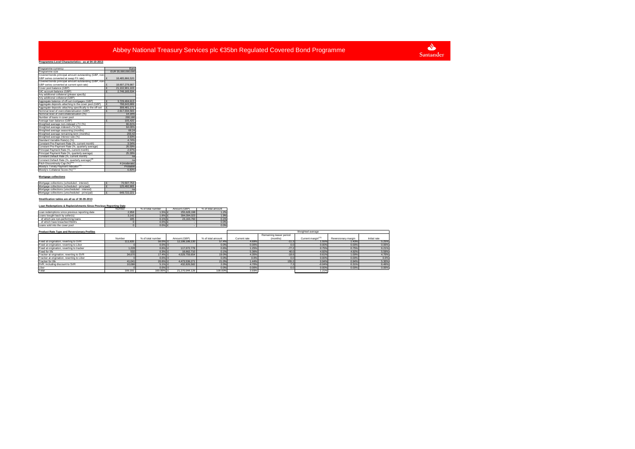$\Delta$ Santander

#### **Programme-Level Characteristics - as at 04-10-2013**Programme currency Euro Programme size<br>Covered bonds principal amount outstanding (GBP, non-<br>GBP series converted at swap FX rate)<br>Covered bonds principal amount outstanding (GBP, non-<br>Covered bonds principal amount outstanding (GBP, non-<br>GBP ser  $\frac{2}{\epsilon}$  21,102,901,1 account balance (GBP)  $\qquad \qquad$  £ 2,746,165,53 v additional collateral (please specify) Any additional collateral (GBP) Aggregate balance of off-set mortgages (GBP) £ 3,729,404,613 Aggregate deposits attaching to the cover pool (GBP) £ 798,643,889 Aggregate deposits attaching specifically to the off-set  $\quad$  £  $\qquad \qquad$  308,481,171 Nominal level of overcollateralisation (GBP)  $\qquad \qquad$  £ 2,617,034,583  $\overline{\text{minal level of overcollateralise}}$ m 180 Number of loans in cover pool 200,180Average loan balance (GBP) Weighted average non-indexed LTV (%) 66.81% 1.06% ed average indexed LTV (% 64.06%Weighted average indexed LTV (%)<br>Weighted average seasoning (months) 200.42<br>Weighted average remaining term (months) 200.42<br>Weighted average interest rate (%) 3.93%<br>Standard Variable Rate(s) (%) 3.93%Standard Variabl  $68.24$ 200.42 3 93% 3.54% Int Pre-Payment Rate (%, current i -Payment Rate (%, quarterly average) 297% al Payment Rate (%, current month) Principal Payment Rate (%, quarterly ave stant Default Rate (%, quantity of Constant Default Rate (%, definit monar) Fitch Discontinuity Cap (%)<sup>(10)</sup> 4 (moderate) robable <sup>/s</sup> Timely Payment Indicator 6.80% Moody's Collateral Score (%)<sup>(1</sup>

#### **Mortgage collections**

| Mortgage collections (scheduled - interest)    | 70.507.753  |
|------------------------------------------------|-------------|
| Mortgage collections (scheduled - principal)   | 125.492.905 |
| Mortgage collections (unscheduled - interest)  | na          |
| Mortgage collections (unscheduled - principal) | 649.722.221 |

#### **Stratification tables are all as of 30-09-2013**

#### **Loan Redemptions & Replenishments Since Previous Reporting Date**

|                                                | Number | % of total number | Amount (GRP) | % of total amount |
|------------------------------------------------|--------|-------------------|--------------|-------------------|
| Loan redemptions since previous reporting date | 2.958  | $1.5%$ £          | 255,628,198  | 1.2%              |
| I gans bought hack by seller(s)                | 3.142  | $1.6%$ £          | 394.094.023  | 1.9%              |
| of which are non-performing loans              | 185    | $0.1%$ £          | 23.163.760   | 0.1%              |
| of which have breached R&Ws                    |        | $0.0\%$ £         |              | 0.0%              |
| Loans sold into the cover pool                 |        | 0.0%              |              | 0.0%              |

#### **Product Rate Type and Reversionary Profiles**

| <b>Product Rate Type and Reversionary Profiles</b> |         |                   |                |                   | Weighted average |                         |                                |                     |              |
|----------------------------------------------------|---------|-------------------|----------------|-------------------|------------------|-------------------------|--------------------------------|---------------------|--------------|
|                                                    |         |                   |                |                   |                  | Remaining teaser period |                                |                     |              |
|                                                    | Number  | % of total number | Amount (GBP)   | % of total amount | Current rate     | (months)                | Current margin <sup>(12)</sup> | Reversionary margin | Initial rate |
| Fixed at origination, reverting to SVR             | 111.635 | 56.0% £           | 12.198.186.130 | 57.4%             | 4.69%            | $-11.3$                 | 1.55%                          | 1.43%               | 5.25%        |
| Fixed at origination, reverting to Libor           |         | $0.0\%$ 0         |                | 0.0%              | 0.00%            | $^{\circ}$              | 0.00%                          | 0.00%               | 0.00%        |
| Fixed at origination, reverting to tracker         | 1.228   | 0.6%              | 117,072,778    | 0.6%              | 1.25%            | $-77.2$                 | 0.75%                          | 0.75%               | 6.21%        |
| Fixed for life                                     | 532     | $0.3%$ £          | 18,662,710     | 0.19              | 5.369            | 40.0                    | 4.92%                          | 4.92%               | 5.59%        |
| Tracker at origination, reverting to SVR           | 34,670  | 17.4% £           | 4.029.759.654  | 19.09             | 4.359            | $-18.6$                 | 0.61%                          | 1.00%               | 4.70%        |
| Tracker at origination, reverting to Libor         |         | $0.0\%$ 0         |                | 0.0%              | 0.0%             |                         | 0.00%                          | 0.00%               | 0.0%         |
| Tracker for life                                   | 41.041  | 20.6% £           | 4.473.536.271  | 21.0%             | 1.44%            | 155.2                   | 0.94%                          | 0.94%               | 5.30%        |
| SVR, including discount to SVR                     | 10.086  | 5.1% £            | 432.826.582    | 2.0%              | 4.70%            |                         | $-0.04%$                       | 0.31%               | 6.46%        |
| Libor                                              |         | 0.0%              |                | 0.09              | 0.00%            |                         | 0.00%                          | 0.00%               | 0.00%        |
| Total                                              | 199.192 | 100.00%           | 21.270.044.126 | 100,009           | 3.93%            |                         | 1.21%                          |                     |              |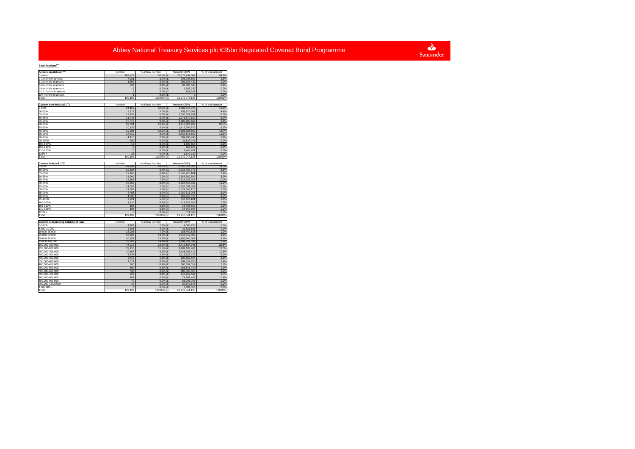# Santander

## **Stratifications(13)**

| otratirications                                    |                 |                           |                                |                           |
|----------------------------------------------------|-----------------|---------------------------|--------------------------------|---------------------------|
| Arrears breakdown <sup>(14)</sup>                  | Number          | % of total number         | Amount (GBP)                   | % of total amount         |
| Current                                            | 189,477         | 95.1%                     | 20.173.499.042<br>£            | 94.8%                     |
| 0-1 month in arrears                               | 7,261           | 3.7%                      | £<br>798,708,892               | 3.8%                      |
| 1-2 months in arrears                              | 1,699           | 0.9%                      | £<br>202,162,437               | 1.0%                      |
| 2-3 months in arrears                              | 737             | 0.4%                      | 93.586.548<br>$\mathbf{f}$     | 0.4%                      |
| 3-6 months in arrears                              | 15              | 0.0%                      | £<br>1.985.252                 | 0.0%                      |
| 6-12 months in arrears                             | $\overline{2}$  | 0.0%                      | 101,947<br>£<br>$\overline{7}$ | 0.0%<br>0.0%              |
| 12+ months in arrears<br>Total                     | 1<br>199,192    | 0.0%<br>100.00%           | £<br>E<br>21,270,044,126       | 100.00%                   |
|                                                    |                 |                           |                                |                           |
| Current non-indexed LTV                            | Number          | % of total number         | Amount (GBP)                   | % of total amount         |
| 0-50%                                              | 64.159          | 32.2%                     | £<br>4.006.514.723             | 18.8%                     |
| 50-55%                                             | 9.917           | 5.0%                      | £<br>932,913,062               | 4.4%                      |
| 55-60%                                             | 12,459          | 6.3%                      | 1,333,359,931<br>£             | 6.3%                      |
| 60-65%                                             | 11.245          | 5.7%                      | £<br>1.273.579.682             | 6.0%                      |
| 65-70%                                             | 16,513          | 8.3% £                    | 2,098,995,664                  | 9.9%                      |
| 70-75%                                             | 32,394          | 16.3%                     | £<br>4,410,024,289             | 20.7%                     |
| 75-80%                                             | 10,138          | 5.1%                      | £<br>1,416,793,873             | 6.7%                      |
| 80-85%                                             | 19,983          | 10.0%                     | £<br>2,903,398,859             | 13.7%                     |
| 85-90%                                             | 17,810          | 8.9%                      | £<br>2,457,843,562             | 11.6%                     |
| 90-95%                                             | 4,110           | 2.1%                      | £<br>399,933,740               | 1.9%                      |
| 95-100%                                            | 399             | 0.2%                      | £<br>31.837.246                | 0.2%                      |
| 100-105%                                           | 17              | 0.0%                      | £<br>1,199,868                 | 0.0%                      |
| 105-110%                                           | $\overline{9}$  | 0.0%                      | £<br>563,665                   | 0.0%                      |
| 110-125%                                           | 15              | 0.0%                      | £<br>1.445.831                 | 0.0%                      |
| 125%+                                              | 24              | 0.0%                      | £<br>1,640,130                 | 0.0%                      |
| Total                                              | 199,192         | 100.00%                   | £<br>21,270,044,126            | 100.00%                   |
| <b>Current indexed LTV</b>                         | Number          | % of total number         | Amount (GBP)                   | % of total amount         |
| 0-50%                                              | 87,747          | 44.1%                     | 5,205,683,603<br>ç             | 24.5%                     |
| 50-55%                                             | 10,824          | 5.4%                      | £<br>1,238,409,979             | 5.8%                      |
| 55-60%                                             | 12,266          | 6.2%                      | £<br>1,530,225,104             | 7.2%                      |
| 60-65%                                             | 14,399          | 7.2%                      | £<br>1,888,669,799             | 8.9%                      |
| 65-70%                                             | 15,166          | 7.6%                      | £<br>2,128,958,902             | 10.0%                     |
| 70-75%                                             | 15,950          | 8.0%                      | 2.388.418.532<br>$\mathbf{f}$  | 11.2%                     |
| 75-80%                                             | 14,898          | 7.5%                      | £<br>2,256,684,889             | 10.6%                     |
| 80-85%                                             | 11,002          | 5.5%                      | £<br>1,631,388,126             | 7.7%                      |
| 85-90%                                             | 7.455           | 3.7%                      | £<br>1.289.813.968             | 6.1%                      |
| 90-95%                                             | 4.535           | 2.3%                      | £<br>789,758,518               | 3.7%                      |
| 95-100%                                            | 2,921           | 1.5%                      | £<br>550,437,104               | 2.6%                      |
| 100-105%                                           | 1.720           | 0.9%                      | 317.752.688<br>$\mathbf{f}$    | 1.5%                      |
| 105-110%                                           | 108             | 0.1%                      | £<br>18,403,669                | 0.1%                      |
| 110-125%                                           | 196             | 0.1%                      | 34.567.597<br>£                | 0.2%                      |
| 125%+                                              | 5               | 0.0%                      | £<br>871,648                   | 0.0%                      |
| Total                                              | 199.192         | 100.00%                   | £<br>21,270,044,126            | 100,00%                   |
|                                                    |                 |                           |                                |                           |
| Current outstanding balance of loan<br>$0 - 5.000$ | Number<br>4.109 | % of total number<br>2.1% | Amount (GBP)<br>9,586,230<br>£ | % of total amount<br>0.1% |
| 5,000-10,000                                       | 4,386           | 2.2%                      | £<br>32,823,586                | 0.2%                      |
| 10,000-25,000                                      | 15,288          | 7.7%                      | £<br>268,402,535               | 1.3%                      |
| 25,000-50,000                                      | 27.903          | 14.0%                     | 1.047.512.385<br>£             | 4.9%                      |
| 50,000-75,000                                      | 30.197          | 15.2%                     | £<br>1,885,960,047             | 8.9%                      |
| 75,000-100,000                                     | 28,696          | 14.4%                     | £<br>2,502,769,394             | 11.8%                     |
| 100,000-150,000                                    | 44,214          | 22.2%                     | £<br>5,419,834,041             | 25.5%                     |
| 150.000-200.000                                    | 22,956          | 11.5%                     | £<br>3,932,188,746             | 18.5%                     |
| 200,000-250,000                                    | 10,164          | 5.1%                      | £<br>2,248,383,412             | 10.6%                     |
| 250,000-300,000                                    | 4,847           | 2.4%                      | £<br>1,313,523,272             | 6.2%                      |
| 300.000-350.000                                    | 2.610           | 1.3%                      | £<br>837.559.164               | 3.9%                      |
| 350,000-400,000                                    | 1,371           | 0.7%                      | 509,159,290<br>£               | 2.4%                      |
| 400,000-450,000                                    | 866             | $0.4%$ £                  | 365, 192, 319                  | 1.7%                      |
| 450.000-500.000                                    | 599             | 0.3%                      | £<br>283.541.730               | 1.3%                      |
| 500,000-600,000                                    | 537             | $0.3%$ £                  | 287,405,320                    | 1.4%                      |
| 600,000-700,000                                    | 229             | 0.1%                      | £<br>146,952,537               | 0.7%                      |
| 700.000-800.000                                    | 107             | 0.1%                      | 79.997.445<br>£                | 0.4%                      |
| 800.000-900.000                                    | 70              | 0.0%                      | £<br>58,705,768                | 0.3%                      |
| 900,000-1,000,000                                  | 40              | 0.0%                      | £<br>37,542,548                | 0.2%                      |
| 1,000,000+                                         | $\overline{3}$  | 0.0%                      | £<br>3,004,356                 | 0.0%                      |
| Total                                              | 199.192         | 100.00% £                 | 21.270.044.126                 | 100.00%                   |
|                                                    |                 |                           |                                |                           |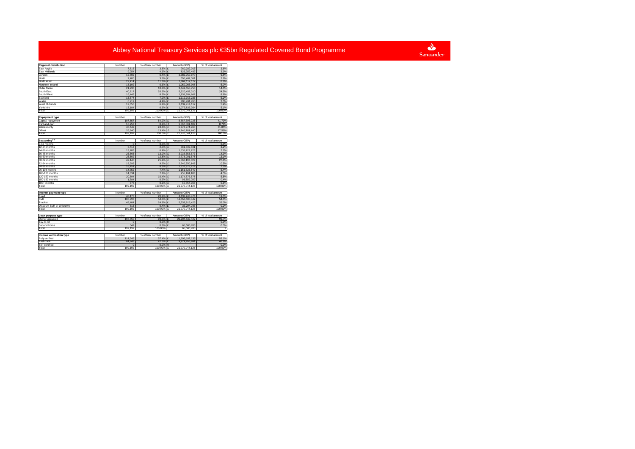

| <b>Regional distribution</b> | Number            | % of total number | Amount (GBP)                    | % of total amount          |
|------------------------------|-------------------|-------------------|---------------------------------|----------------------------|
| East Anglia                  | 7,616             | 3.8%              | 760,282,015                     | 3.6%                       |
| East Midlands                | 9,054             | 4.6%              | £<br>826, 352, 483              | 3.9%                       |
| London                       | 12.802            | 6.4%              | 2,082,750,970                   | 9.8%                       |
| North                        | 7,485             | 3.8%              | 555,402,361                     | 2.6%                       |
| North West                   | 22,414            | 11.3%             | 1,862,112,177<br>£              | 8.8%                       |
| Northern Ireland             | 13,192            | 6.6%              | 1,052,085,908<br>£              | 5.0%                       |
| Outer Metro                  | 21.236            | 10.7%             | 3.042.558.753<br>£              | 14.3%                      |
| South East                   | 40.817            | 20.5%             | £<br>5,220,457,310              | 24.5%                      |
| South West                   | 16,443            | 8.3%              | £<br>1,831,284,667              | 8.6%                       |
| Scotland                     | 13,874            | 7.0%              | 1.112.015.236                   | 5.2%                       |
| Wales                        | 8,719             | 4.4%              | 705,491,763                     | 3.3%                       |
| West Midlands                | 12.356            | 6.2%              | 1.139.414.117                   | 5.4%                       |
| Yorkshire                    | 13,184            | 6.6%              | £<br>1,079,836,364              | 5.1%                       |
| Total                        | 199,192           | 100.00%           | 21,270,044,126<br>E             | 100.00%                    |
|                              |                   |                   |                                 |                            |
| <b>Repayment type</b>        | Number            | % of total number | Amount (GBP)                    | % of total amount          |
| Capital repayment            | 107.857           | 54.2%             | £<br>8,887,706,236              | 41.79%                     |
| Part-and-part                | 16.253            | 8.2%              | £<br>1,867,581,489              | 8.78%                      |
| Interest-only                | 48,442            | 24.3%             | £<br>6,773,974,960              | 31.85%                     |
| Offset                       | 26,640            | 13.4%             | £<br>3.740.781.440              | 17.59%                     |
| Total                        | 199.192           | 100.0%            | 21,270,044,126<br>£             | 100.0%                     |
|                              |                   |                   |                                 |                            |
| Seasoning <sup>(15)</sup>    | Number            | % of total number | Amount (GBP)                    | % of total amount          |
| 0-12 months                  | $\Omega$          | 0.0%              | $\mathbf{0}$                    | 0.0%                       |
| 12-24 months                 | 5,413             | 2.7%              | ç<br>681,539,831                | 3.2%                       |
| 24-36 months                 | 13,783            | 6.9%              | ç<br>1,638,422,923              | 7.7%                       |
| 36-48 months                 | 25.866            | 13.0%             | 3,038,653,672                   | 14.3%                      |
| 48-60 months                 | 25,502            | 12.8%             | £<br>2,778,901,678              | 13.1%                      |
| 60-72 months                 | 42.145            | 21.2%             | 5.868.197.322                   | 27.6%                      |
| 72-84 months                 | 18,393            | 9.2%              | £<br>2,240,350,143              | 10.5%                      |
| 84-96 months                 | 16,451            | 8.3%              | £<br>1,632,975,222              | 7.7%                       |
| 96-108 months                | 14,752            | 7.4%              | £<br>1,151,625,549              | 5.4%                       |
| 108-120 months               | 14.034            | 7.1%              | 955.184.183<br>£                | 4.5%                       |
| 120-150 months               | 20.694            | 10.4%             | 1,174,876,578<br>£              | 5.5%                       |
| 150-180 months               | 1,784             | 0.9%              | £<br>93,759,059                 | 0.4%                       |
| 180+ months                  | 375               | 0.2%              | 15,557,965<br>£                 | 0.1%                       |
| Total                        | 199,192           | 100.00%           | £<br>21,270,044,126             | 100.00%                    |
|                              |                   |                   |                                 |                            |
| Interest payment type        | Number            | % of total number | Amount (GBP)                    |                            |
| Fixed                        | 40,176            | 20.2%             | $\mathbf{f}$<br>4,137,243,474   | % of total amount<br>19.5% |
| <b>SVR</b>                   | 108,797           | 54.6%             | £<br>11,558,590,442             | 54.3%                      |
| Tracker                      | 49.404            | 24.8%             | 5.538.915.425                   | 26.0%                      |
| Discount SVR or Unknown      | 815               | 0.4%              | 35.294.785<br>£                 | 0.2%                       |
| Total                        | 199.192           | 100.00%           | 21,270,044,126<br>£             | 100.00%                    |
|                              |                   |                   |                                 |                            |
| Loan purpose type            | Number            | % of total number | Amount (GBP)                    | % of total amount          |
| Owner-occupied               | 198,650           | 99.7%             | 21,204,537,422<br>£             | 99.7%                      |
| Buy-to-let                   |                   | 0.0%              | $\Omega$                        | 0.0%                       |
| Second home                  | 542               | 0.3%              | £<br>65,506,703                 | 0.3%                       |
| Total                        | 199.192           | 100.00%           | 65,506,703                      | T                          |
|                              |                   |                   |                                 |                            |
| Income verification type     |                   | % of total number | Amount (GBP)                    | % of total amount          |
| Fully verified               | Number<br>114,349 | 57.4% £           | 11,295,187,135                  | 53.1%                      |
|                              |                   |                   |                                 |                            |
| Fast-track<br>Self-certified | 84,843            | 42.6%<br>0.0%     | 9,974,856,991<br>$\overline{0}$ | 46.9%<br>0.0%              |
| Total                        | 199.192           | 100.00%           | 21,270,044,126<br>E             | 100.00%                    |
|                              |                   |                   |                                 |                            |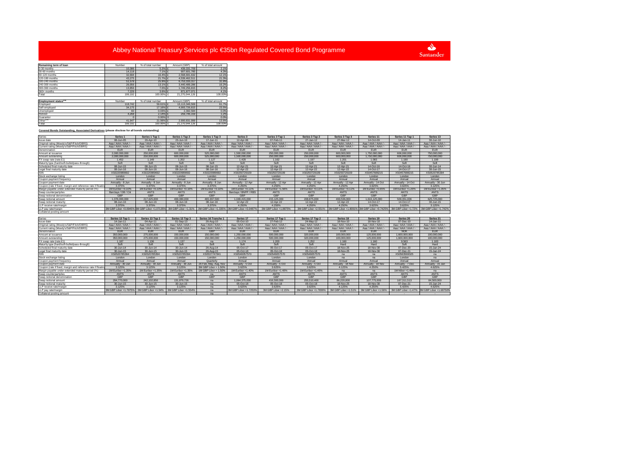Santander

| Remaining term of loan            | Number   | % of total number | Amount (GBP)   | % of total amount |  |
|-----------------------------------|----------|-------------------|----------------|-------------------|--|
| 0-30 months                       | 10.386   | 5.2% £            | 439.331.709    | 2.1%              |  |
| 30-60 months                      | 14.118   | 7.1% £            | 907.601.785    | 4.3%              |  |
| 60-120 months                     | 32.694   | 16.4% £           | 2.568.691.632  | 12.1%             |  |
| 120-180 months                    | 43.275   | 21.7% £           | 4.539.462.511  | 21.3%             |  |
| 180-240 months                    | 51,578   | 25.9% £           | 6.753.333.317  | 31.8%             |  |
| 240-300 months                    | 26,056   | 13.1% £           | 3.440.489.286  | 16.2%             |  |
| 300-360 months                    | 13,856   | 7.0% £            | 1.749.256.815  | 8.2%              |  |
| 360+ months                       | 7.229    | 3.6% £            | 871,877,071    | 4.1%              |  |
| Total                             | 199.192  | 100.00% £         | 21.270.044.126 | 100,00%           |  |
|                                   |          |                   |                |                   |  |
| Employment status <sup>(16)</sup> | Number   | % of total number | Amount (GBP)   | % of total amount |  |
| Employed                          | 118,742  | 59.61% £          | 13.113.346.569 | 61.7%             |  |
| Self-employed                     | 34.175   | 17.16% £          | 4.993.726.815  | 23.5%             |  |
| Unemployed                        | 60       | $0.03\%$ £        | 2.392.584      | 0.0%              |  |
| Retired                           | 4.268    | $2.14%$ £         | 259,746.159    | 1.2%              |  |
| Guarantor                         | $\Omega$ | $0.00\%$ 0        |                | 0.0%              |  |
| Other <sup>(18)</sup>             | 41.947   | 21.06% £          | 2.900.831.999  | 13.6%             |  |
| Total                             | 199.192  | 100.00% £         | 21.270.044.126 | 100,00%           |  |

### **Covered Bonds Outstanding, Associated Derivatives (please disclose for all bonds outstanding)**

| Series                                                      | Series <sub>1</sub>   | Series 1 Tap 1                               | Series 1 Tap 2           | Series 1 Tap 3        | Series 3              | Series 3 Tap 1        | Series 3 Tap 2        | Series 3 Tap 3       | Series 11                                   | Series 11 Tap 1     | Series 13                                  |
|-------------------------------------------------------------|-----------------------|----------------------------------------------|--------------------------|-----------------------|-----------------------|-----------------------|-----------------------|----------------------|---------------------------------------------|---------------------|--------------------------------------------|
| Issue date                                                  | 08-Jun-05             | 26-Apr-10                                    | 23-Jun-10                | 17-Jun-11             | 12-Apr-06             | 07-Feb-11             | 27-Jan-12             | 27-Mar-12            | 14-Oct-09                                   | 14-Jan-11           | 30-Jun-10                                  |
| Original rating (Moody's/S&P/Fitch/DBRS)                    | Ass / AAA / AAA /     | Aaa / AAA / AAA / -                          | Aaa / AAA / AAA /        | Ass / AAA / AAA / -   | Aaa / AAA / AAA / -   | Aaa / AAA / AAA / -   | Ass / AAA / AAA / -   | Ass / AAA / AAA / -  | Ass / AAA / AAA / -                         | Ass / AAA / AAA / - | Ass / AAA / AAA / -                        |
| Current rating (Moody's/S&P/Fitch/DBRS)                     | Aaa / AAA / AAA / -   | Aaa/AAA/AAA/-                                | Aaa / AAA / AAA / -      | Aaa / AAA / AAA / -   | Aaa / AAA / AAA / -   | Aaa / AAA / AAA / -   | Aaa / AAA / AAA / -   | Aaa / AAA / AAA / -  | Aaa / AAA / AAA / -                         | Aaa / AAA / AAA / - | Aaa / AAA / AAA / -                        |
| Denomination                                                | <b>EUR</b>            | <b>EUR</b>                                   | <b>EUR</b>               | <b>EUR</b>            | EUR.                  | <b>EUR</b>            | <b>EUR</b>            | <b>EUR</b>           | <b>EUR</b>                                  | <b>EUR</b>          | <b>EUR</b>                                 |
| Amount at issuance                                          | 2,000,000,000         | 250,000,000                                  | 600,000,000              | 525,000,000           | 1,500,000,000         | 250,000,000           | 250,000,000           | 600,000,000          | 1.750.000.000                               | 000.060.808         | 750,000,000                                |
| Amount outstanding                                          | 2.000.000.000         | 250,000,000                                  | 600.000.000              | 525,000,000           | 1.500.000.000         | 250,000,000           | 250,000,000           | 600,000,000          | 1.750.000.000                               | 606.060.000         | 750,000,000                                |
| FX swap rate (rate:£1)                                      | 1.452                 | 1.149                                        | 1.202                    | 1.127                 | 1.429                 | 1.162                 | 1.197                 | 1.201                | 1.083                                       | 1.190               | 1.199                                      |
| Maturity type (hard/soft-bullet/pass-through)               | Soft                  | Soft                                         | Soft                     | Soft                  | Soft                  | Soft                  | Soft                  | Soft                 | Soft                                        | Soft                | Soft                                       |
| Scheduled final maturity date                               | 08-Jun-15             | 08-Jun-15                                    | 08-Jun-15                | 08-Jun-15             | 12-Apr-21             | 12-Apr-21             | 12-Apr-21             | 12-Apr-21            | 14-Oct-16                                   | 14-Oct-16           | 30-Jun-14                                  |
| Legal final maturity date                                   | 08-Jun-16             | 08-Jun-16                                    | 08-Jun-16                | 08-Jun-16             | 12-Apr-22             | 12-Apr-22             | 12-Apr-22             | 12-Apr-22            | 14-Oct-17                                   | 14-Oct-17           | 30-Jun-15                                  |
| <b>ISIN</b>                                                 | XS0220989692          | XS0220989692                                 | XS0220989692             | XS0220989692          | XS0250729109          | XS0250729109          | XS0250729109          | XS0250729109         | XS0457688215                                | XS0457688215        | XS0520785394                               |
| Stock exchange listing                                      | London                | London                                       | London                   | London                | London                | London                | London                | London               | London                                      | London              | London                                     |
| Coupon payment frequency                                    | Annual                | Annual                                       | Annual                   | Annual                | Annual                | Annual                | Annual                | Annual               | Annual                                      | Annual              | Annual                                     |
| Coupon payment date                                         | Annually - 8 Jun      | Annually - 8 Jun                             | Annually - 8 Jun         | Annually - 8 Jun      | Annually - 12 Apr     | Annually - 12 Apr     | Annually - 12 Apr     | Annually - 12 Apr    | Annually - 14 Oct                           | Annually - 14 Oct   | Annually - 30 Jun                          |
| Coupon (rate if fixed, margin and reference rate if floatin | 3.375%                | 3.375%                                       | 3.375%                   | 3.375%                | 4.250%                | 4.250%                | 4.250%                | 4.250%               | 3.625%                                      | 3.625%              | 3.125%                                     |
| Margin payable under extended maturity period (%)           | 1M Euribor +0.10%     | 1M Euribor +0.10%                            | 1M Euribor +0.10%        | 1M Euribor +0.10%     | 1M Euribor +0.11%     | 1M Euribor +1.56%     | 1M Euribor +0.11%     | 1M Euribor +0.11%    | 1M Euribor +0.65%                           | 1M Euribor +1.20%   | 1M Euribor +1.35%                          |
| Swap counterpartwies                                        | Barclays / DB / Citi  | <b>ANTS</b>                                  | <b>ANTS</b>              | <b>ANTS</b>           | Barclays / BNPP / RBS | <b>ANTS</b>           | <b>ANTS</b>           | <b>ANTS</b>          | <b>ANTS</b>                                 | <b>ANTS</b>         | <b>ANTS</b>                                |
| Swap notional denomination                                  | GBP                   | GBP                                          | GBP                      | GBP                   | GBP                   | GBP                   | GBP                   | GBP                  | GBP                                         | GBP                 | GBP                                        |
| Swap notional amount                                        | 1.376.000.000         | 217.625.000                                  | 499.080.000              | 465.937.500           | 1.049.415.000         | 215.125.000           | 208.875.000           | 499.536.000          | 1.616.125.000                               | 509.351.006         | 625.725.000                                |
| Swap notional maturity                                      | 08-Jun-16             | 08-Jun-16                                    | 08-Jun-16                | 08-Jun-16             | 12-Apr-22             | 12-Apr-22             | 12-Apr-22             | 12-Apr-22            | 14-Oct-17                                   | 14-Oct-17           | 30-Jun-15                                  |
| LLP receive rate/margin                                     | 3.375%                | 3.375%                                       | 3 375%                   | 3.375%                | 4.250%                | 4.250%                | 4.250%                | 4 250%               | 3.625%                                      | 3 625%              | 3 125%                                     |
| LLP pay rate/margin                                         |                       | 3M GBP Libor +0.0945% 3M GBP Libor +1.07135% | 3M GBP Libor +1.31%      | 3M GBP Libor +1.335%  | 3M GBP Libor +0.0487% | 3M GBP Libor +1.8875% | 3M GBP Libor +2.551%  |                      | 3M GBP Libor +1.8091% 3M GBP Libor +0.7425% | 3M GBP Libor +1.72% | 3M GBP Libor +1.742%                       |
| Collateral posting amount                                   |                       |                                              |                          |                       |                       |                       |                       |                      |                                             |                     |                                            |
|                                                             |                       |                                              |                          |                       |                       |                       |                       |                      |                                             |                     |                                            |
|                                                             |                       |                                              |                          |                       |                       |                       |                       |                      |                                             |                     |                                            |
| Series                                                      | Series 13 Tap 1       | Series 13 Tap 2                              | Series 13 Tap 3          | Series 16 Tranche 1   | Series 17             | Series 17 Tap 1       | Series 17 Tap 2       | Series <sub>18</sub> | Series 19                                   | Series 20           | Series 21                                  |
| ateh eussi                                                  | $14 -$ lan-11         | 04-Apr-11                                    | 01-Sep-13                | 26-Aug-10             | $05-Ort-10$           | 27-Feb-12             | 24-May-12             | 18-Nov-10            | 18-Nov-10                                   | $07 - Dec - 10$     | $14 -$ Ian-11                              |
| Original rating (Moody's/S&P/Fitch/DBRS)                    | Aaa / AAA / AAA /     | Aaa / AAA / AAA / -                          | Aaa / AAA / AAA /        | Aaa / AAA / AAA / -   | Aaa / AAA / AAA / -   | Aaa / AAA / AAA / -   | Aaa / AAA / AAA / -   | Aaa / AAA / AAA / -  | Ass / AAA / AAA / -                         | Ass / AAA / AAA / - | Ass / AAA / AAA / -                        |
| Current rating (Moody's/S&P/Fitch/DBRS)                     | Aaa / AAA / AAA / -   | Aaa/AAA/AAA/-                                | Aaa / AAA / AAA / -      | Aaa / AAA / AAA / -   | Aaa / AAA / AAA / -   | Aaa/AAA/AAA/-         | Aaa / AAA / AAA / -   | Aaa / AAA / AAA / -  | Aaa / AAA / AAA / -                         | Aaa / AAA / AAA / - | Aaa / AAA / AAA / -                        |
| Denomination                                                | <b>EUR</b>            | <b>EUR</b>                                   | <b>EUR</b>               | GBP                   | FUR.                  | <b>EUR</b>            | <b>FUR</b>            | <b>FUR</b>           | <b>FUR</b>                                  | <b>NOK</b>          | <b>EUR</b>                                 |
| Amount at issuance                                          | 350,000,000           | 275,000,000                                  | 150,000,000              | 150,000,000           | 1.250.000.000         | 500,000,000           | 320,000,000           | 100,000,000          | 125,000,000                                 | 1,600,000,000       | 100,000,000                                |
| Amount outstanding                                          | 350,000,000           | 275,000,000                                  | 150,000,000              | 150,000,000           | 1.250.000.000         | 500.000.000           | 320,000,000           | 100.000.000          | 125,000,000                                 | 1,600,000,000       | 100,000,000                                |
| FX swap rate (rate:£1)                                      | 1 1 8 7               | 1.136                                        | 1.137                    | na                    | 1.174                 | 1.200                 | 1 2 5 2               | 1.160                | 1.160                                       | 9.563               | 1.183                                      |
| Maturity type (hard/soft-bullet/pass-through)               | Soft                  | Soft                                         | Soft                     | Soft                  | Soft                  | Soft                  | Soft                  | Hard                 | Hard                                        | Soft                | Hard                                       |
| Scheduled final maturity date                               | 30-Jun-14             | 30-Jun-14                                    | $30 - \frac{1}{10} - 14$ | 26-Aug-14             | 05-Oct-17             | 05-Oct-17             | 05-Oct-17             | 18-Nov-25            | 18-Nov-30                                   | 07-Dec-20           | $15 - Jan-24$                              |
| Legal final maturity date                                   | 30-Jun-15             | 30-Jun-15                                    | 30-Jun-15                | 26-Aug-15             | 05-Oct-18             | 05-Oct-18             | 05-Oct-18             | 18-Nov-25            | 18-Nov-30                                   | 07-Dec-21           | 15-Jan-24                                  |
|                                                             | XS0520785394          | XS0520785394                                 | XS0520785394             | XS0537747841          | XS0546057570          | XS0546057570          | XS0546057570          | na                   | na                                          | XS0563569325        | na                                         |
| Stock exchange listing                                      | London                | London                                       | London                   | London                | London                | London                | London                | na                   | na                                          | London              | na                                         |
| Coupon payment frequency                                    | Annual                | Annual                                       | Annual                   | Quarterly             | Annual                | Annual                | Annual                | Annual               | Annual                                      | Annual              | Annua                                      |
| Coupon payment date                                         | Annually - 30 Jun     | Annually - 30 Jun                            | Annually - 30 Jun        | 26 Feb, May, Aug, Nov | Annually - 5 Oct      | Annually - 5 Oct      | Annually - 5 Oct      | Annually - 18 Nov    | Annually - 18 Nov                           | Annually - 7 Dec    | Annually - 15 Jan                          |
| Coupon (rate if fixed, margin and reference rate if floatin | 3.125%                | 3.125%                                       | 3.125%                   | 3M GBP Libor + 1.50%  | 3.625%                | 3.625%                | 3.625%                | 4.125%               | 4.250%                                      | 5.425%              | 4.625%                                     |
| Margin payable under extended maturity period (%)           | 1M Euribor +1.35%     | 1M Euribor +1.35%                            | 1M Euribor +1.35%        | 1M GBP Libor + 1.50%  | 1M Euribor +1.40%     | 1M Euribor +1.40%     | 1M Euribor +1.40%     | na                   | na                                          | 1M Nibor +1.45%     | na                                         |
| Swap counterparty/ies                                       | <b>ANTS</b>           | <b>ANTS</b>                                  | <b>ANTS</b>              | na                    | <b>ANTS</b>           | <b>ANTS</b>           | ANTS                  | <b>ANTS</b>          | <b>ANTS</b>                                 | <b>ANTS</b>         | <b>ANTS</b>                                |
| Swap notional denomination                                  | GRP                   | GRP                                          | GRP                      | GRP                   | GRP                   | GRP                   | GBP                   | GRP                  | GRP                                         | GRP                 | GRP                                        |
| Swap notional amount                                        | 294,770,000           | 242,102.850                                  | 131.879.726              | na                    | 1.064.375.000         | 416,500,000           | 255,510,400           | 86.220.000           | 107.775.000                                 | 167.311.513         | 84,500,000                                 |
| Swap notional maturity                                      | 30-Jun-15             | 30-Jun-15                                    | 30-Jun-15                | na                    | 05-Oct-18             | 05-Oct-18             | 05-Oct-18             | 18-Nov-25            | 18-Nov-30                                   | 07-Dec-21           | 15-Jan-24                                  |
| LLP receive rate/margin                                     | 3 125%                | 3 1 2 5 %                                    | 3 125%                   | na                    | 3 625%                | 3.625%                | 3.625%                | 4 125%               | 4 250%                                      | 5 425%              | 4.625%                                     |
| LLP pay rate/margin<br>Collateral posting amount            | 3M GBP Libor +1.7975% | 3M GBP Libor +1.54%                          | 3M GBP Libor +1.554%     | na<br>na              | 3M GBP Libor +1.7253% | 3M GBP Libor +2.15%   | 3M GBP Libor +1.7836% | 3M GBP Libor +1.51%  | 3M GBP Libor +1.56%                         |                     | 3M GBP Libor +1.47% 3M GBP Libor +1.68750% |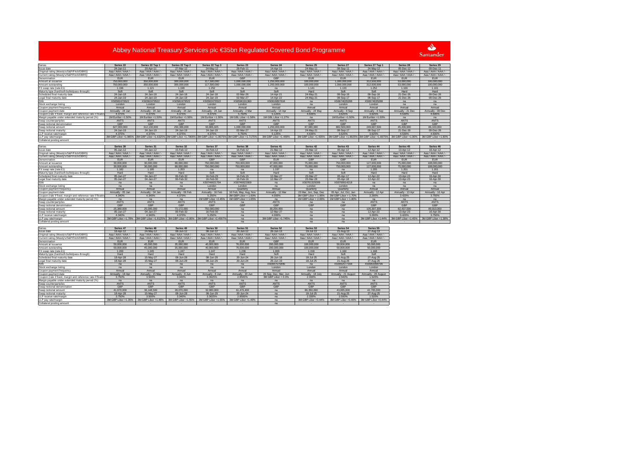$\sum_{i=1}^{N}$ Santander

#### Serie Series 22 Series 22:Tap 1 Series 22:Tap 2 Series 22:Tap 3 Series 23 Series 24 Series 25 Series 27 Series 27:Tap 1 Series 28 Series 29 Issue date 24-Jan-11 20-Apr-11 27-Mar-12 24-May-12 28-Feb-11 14-Apr-11 24-May-11 08-Sep-11 24-May-12 05-Dec-12 09-Dec-11 Original rating (Moodys/S&P/Fitch/DBRS) Aaa / AAA / AAA / AAA / AAA / AAA / AAA / AAA / AAA / AAA / AAA / AAA / AAA / AAA / AAA / AAA / AAA / AAA / AAA / AAA / AAA / AAA / AAA / AAA / AAA / AAA / AAA / AAA / AAA / AAA Aaa / AAA / AAA / -Current rating (Moody's/S&P/Fitch/DBRS) Aaa / AAA / AAA / - Aaa / AAA / AAA / - Aaa / AAA / AAA / - Aaa / AAA / AAA / - Aaa / AAA / AAA / - Aaa / AAA / AAA / - Aaa / AAA / AAA / - Aaa / AAA / AAA / - Aaa / AAA / AAA / - Aaa / AAA / AAA / - Aaa / AAA / AAA / - Denomination EUR EUR EUR EUR GBP GBP EUR EUR EUR EUR EUR100,000,00 hount at issuance 750,000,000 350,000,000 300,000,000 117,500,000 1,000,000,000 1,250,000,000 100,000,000 1,000,000,000 312,500,000 53,000,000 100,000,000 Amount outstanding 750,000,000 350,000,000 300,000,000 117,500,000 1,000,000,000 1,250,000,000 100,000,000 1,000,000,000 312,500,000 53,000,000 100,000,000 FX swap rate (rate:£1)1.196 | 1.121 | 1.198 | 1.252 | na | na | 1.141 | 1.133 | 1.252 | 1.166 | 1.161 | 1.161 | 1.161 | 1.161 | 1.16 Maturity type (hard/soft-bullet/pass-through) | Soft | Soft | Soft | Soft | Soft | Soft | Soft Hard | Hard | Hard 09-Dec-26 Scheduled final maturity date 24-Jan-18 24-Jan-18 24-Jan-18 24-Jan-18 02-Mar-26 14-Apr-21 24-May-21 08-Sep-16 08-Sep-16 21-Dec-26 09-Dec-26 Legal final maturity date 24-Jan-19 24-Jan-19 24-Jan-19 24-Jan-19 02-Mar-27 14-Apr-22 24-May-21 08-Sep-17 08-Sep-17 21-Dec-26 09-Dec-26 ISIN XS0582479522 XS0582479522 XS0582479522 XS0582479522 XS0596191360 XS0616897616 na XS0674635288 XS0674635288 na na Stock exchange listing London London London London London London na London London na na Coupon payment frequency Annual Annual Annual Annual Annual Annual Annual Annual Annual Annual Annual Coupon payment date<br>Coupon (rate if fixed, margin and reference rate if floating e Annually - 24 Jan Annually - 24 Jan Annually - 24 Jan Annually - 24 Jan Annually - 24 Mar Annually - 14 Apr Annually - 24 May Annually - 8 Sep Annually - 8 Sep Annually - 24 Mar Annually - 24 Mar Annually - 24 Mar Annual 4.375% 4.375% 4.375% 4.375% 5.750% 5.125% 4.636% 3.625% 3.625% 4.530% 4.600%Margin payable under extended maturity period (%) | 1M Euribor +1.50% | 1M Euribor +1.50% | 1M Euribor +1.50% | 1M Euribor +1.50% | 1M Euribor +1.50% | 1M Euribor +1.50% | 1M Euribor +1.50% | 1M Euribor +1.50% | 1M Euribor Swap counterparty/ies ANTS ANTS ANTS ANTS ANTS ANTS ANTS ANTS ANTS ANTS ANTSSwap notional denomination GBP GBP GBP GBP GBP GBP GBP GBP GBP GBP GBPSwap notional amount<br>Swap notional maturity t 627,000,000 312,130,000 250,386,000 93,886,025 1,000,000,000 1,250,000,000 87,680,000 882,500,000 249,687,500 45,436,900 86,100,000 09-Dec-26 24-Jan-19 24-Jan-19 24-Jan-19 24-Jan-19 02-Mar-27 14-Apr-22 24-May-21 08-Sep-17 08-Sep-17 21-Dec-26 09-Dec-264.600% P receive rate/margin 4.375% 4.375% 4.375% 4.375% 5.750% 5.125% 4.636% 3.625% 3.625% 4.530% 4.600%3M GBP Libor +1.80% pay rate/margi 3M GBP Libor +1.985% 3M GBP Libor +1.6325% 3M GBP Libor +1.7906% 3M GBP Libor +1.8075% 3M GBP Libor +1.7175% 3M GBP Libor +1.469% 3M GBP Libor +1.435% 3M GBP Libor +1.9925% 3M GBP Libor +1.9925% 3M GBP Libor +1.9925% 3M GB Collateral posting amount - - - - - - - - - - -Series **Series 30 Series 31 Series 32 Series 37 Series 38 Series 41 Series 42 Series 43 Series 44 Series 45 Series 46**ue date<br>Iginal rating (Moodv's/S&P/Fitch/DI 05-Jan-12 04-Jan-12 15-Feb-12 16-Feb-12 16-Feb-12 21-Mar-12 23-Mar-12 05-Apr-12 12-Apr-12 13-Apr-12 16-Apr-12 Original rating (Moodys/S&P/Fitch/DBRS) Aaa / AAA / AAA / AAA / AAA / AAA / AAA / AAA / AAA / AAA / AAA / AAA / AAA / AAA / AAA / AAA / AAA / AAA / AAA / AAA / AAA / AAA / AAA / AAA / AAA / AAA / AAA / AAA / AAA / AAA Current rating (Moody's/S&P/Fitch/DBRS) | Aaa / AAA / AAA / AAA / AAA / AAA / AAA / AAA / AAA / AAA / AAA / AAA / AAA / AAA / AAA / AAA / AAA / AAA / AAA / AAA / AAA / AAA / AAA / AAA / AAA / AAA / AAA / AAA / AAA / A - | Aaa / AAA / AAA / - | Aaa / AAA / AAA / - | Aaa / AAA / AAA / - | Aaa / AAA / AAA / - | Aaa / AAA / AAA / Denominationn en die EUR eur EUR eur de GBP gebeure de de gebeure eur de GBP en de GBP eur eur eur eur eur eur de GBP gebe Amount at issuance 30,000,000 30,000,000 88,000,000 750,000,000 750,000,000 47,000,000 75,000,000 750,000,000 127,000,000 75,000,000 108,000,000 Amount outstanding<br>FX swap rate (rate:£1)  $\mathbf g$  30,000,000 30,000,000 88,000,000 750,000,000 750,000,000 47,000,000 750,000,000 750,000,000 127,000,000 750,000,000 750,000,000 108,000,000 1.182 | 1.195 | 1.203 | na | na | 1.197 | na | na | 1.205 | 1.201 | 1.201 Maturity type (hard/soft-bullet/pass-through) | Hard | Hard | Hard | Soft | Hard | Soft | Soft | Soft | Soft | Hard | Hard | 16-Apr-3 Scheduled final maturity date 05-Jan-27 04-Jan-27 06-Feb-32 16-Feb-29 16-Feb-15 12-Mar-27 23-Mar-27 05-Apr-17 12-Apr-22 13-Apr-23 16-Apr-30 Legal final maturity date 05-Jan-27 04-Jan-27 06-Feb-32 16-Feb-30 16-Feb-16 12-Mar-27 23-Mar-28 05-Apr-18 12-Apr-22 13-Apr-23 16-Apr-30 ISINn na na na na na kao xS0746621704 XS0746622009 na kS0761325009 XS0769914218 na na na na Stock exchange listing na na na London London na London London na na na non payment freque y Annual | Annual | Annual | Annual | Annual | Quarterly | Annual | Quarterly | Quarterly | Annual | Annual | Annual | Annual Coupon payment datee Annually - 05 Jan Annually - 04 Jan Annually - 06 Feb Annually - 16 Feb 16 Feb 16 Feb, May, Aug, Nov Annually - 12 Mar 23 Mar, Jun, Sep, Dec 05 Apr, Jul, Oct, Jan Annually - 12 Apr Annually - 13 Apr Annually - 16 Apr Coupon (rate if fixed, margin and reference rate if floating)4.340% | 4.340% | 4.370% | 5.250% |3M GBP Libor + 1.60% | 3M GBP Libor + 1.95% |3M GBP Libor + 1.70% | 3.290% | 3.420%  $\frac{3.750\%}{2.750\%}$ Margin payable under extended maturity period (%) names a <mark>na lahalampehinta na 1M GBP Libor +2.45% |1M GBP Libor + 1.65% | na 1</mark>M GBP Libor + 2.00% <mark>1M GBP Libor + 2.00% | 1M GBP Libor + 2.00% | 1M GBP Libor + 2.00% | 1M GBP Libor + 2.00% | 1M GBP Libor + 2.00% | 1M GBP Libor </mark> vap counterparty/ie ANTS ANTS ANTS ANTS na ANTS na na ANTS ANTS ANTSwap notional den GBP GBP GBP GBP GBP GBP GBP GBP GBP GBP GBP89 910 0 notional an 25,380,000 25,095,000 73,172,000 750,000,000 na 39,254,400 na na 105,397,300 62,437,500 89,910,000Swap notional maturityy 12-Mar-27 | 04-Jan-27 | 06-Feb-32 | 16-Feb-30 | na 12-Mar-27 | na 12-Mar-20 | 12-Apr-22 13-Apr-23 16-Apr-30 LLP receive rate/margin 4.340% 4.340% 4.370% 5.250% na 4.000% na na 3.290% 3.420% 3.750%3.750%<br>MGBP Libor +1.38% LLP pay rate/margin 3M GBP Libor +1.78% 3M GBP Libor +1.8125% 3M GBP Libor +2.00% 3M GBP Libor +2.4567% na 3M GBP Libor +1.745% na na 3M GBP Libor +1.44% 3M GBP Libor +1.45% 3M GBP Libor +1.38% Collateral posting amount - - - - na - na na - - -Series **Series 47 Series 48 Series 49 Series 50 Series 51 Series 52 Series 53 Series 54 Series 55**Issue date 18-Apr-12 24-May-12 08-Jun-12 08-Jun-12 20-Jun-12 26-Jun-13 19-Jul-13 21-Aug-13 27-Aug-13 Original rating (Moody's/S&P/Fitch/DBRS) Aaa / AAA / AAA / - Aaa / AAA / AAA / AAA / AAA / AAA / AAA / AAA / AAA / - Aaa / AAA / AAA / - Aaa / AAA / AAA / - Aaa / AAA / AAA / - Aaa / AAA / AAA / - Aaa / AAA / AAA / - Aaa / Current rating (Moody's/S&P/Fitch/DBRS) | Aaa / AAA / AAA / AAA / AAA / AAA / AAA / AAA / AAA / AAA / AAA / AAA / AAA / AAA / AAA / AAA / AAA / AAA / AAA / AAA / AAA / AAA / AAA / AAA / AAA / AAA / AAA / AAA / AAA / A Aaa / AAA / AAA / - Aaa / AAA / AAA / - Aaa / AAA / AAA / - Denomination EUR EUR EUR EUR EUR GBP EUR EUR EURAmount at issuance 50,000,000 45,000,000 35,000,000 40,000,000 76,000,000 200,000,000 100,000,000 50,000,000 50,000,000 Amount outstanding 50,000,000 45,000,000 35,000,000 40,000,000 76,000,000 200,000,000 100,000,000 50,000,000 50,000,000 FX swap rate (rate:£1)1.200 | 1.245 | 1.247 | 1.247 | 1.236 | 1.000 | 1.158 | 1.160 | 1.168 | 1.168 | 1.168 | 1.168 | 1.168 | 1.168 Maturity type (hard/soft-bullet/pass-through) | Hard | Hard | Hard | Hard | Hard | Hard | Soft | Soft Soft Scheduled final maturity date 18-Apr-28 15-May-27 08-Jun-28 08-Jun-29 20-Jun-24 26-Jun-18 18-Jul-25 21-Aug-25 27-Aug-25 Legal final maturity date 18-Apr-28 15-May-27 08-Jun-28 08-Jun-29 20-Jun-24 26-Jun-19 18-Jul-25 21-Aug-26 27-Aug-26 ISINna na na na na na na na na na na kao 20047575840 na k<sup>20062577168</sup> XS0963398796 Stock exchange listing na na na na na London London London London Coupon payment frequency Annual Annual Annual Annual Annual Annual Annual Annual Annual Coupon payment date Annually - 18 Apr Annually - 15 May Annually - 8 Jun Annually - 8 Jun Annually - 20 Jun 26 Sep, Dec, Mar, Jun Annually - 18 July Annually - 21 August Annually - 28 August Coupon (rate if fixed, margin and reference rate if floating) 3.750% 3.500% 3.340% 3.3625% 2.9500% 3M GBP Libor + 0.3% 2.330% 2.500% 1.520% Margin payable under extended maturity period (%) na na na na na na na na na Swap counterparty/ies ANTS ANTS ANTS ANTS ANTS ANTS ANTS ANTS ANTSSwap notional denomination GBP GBP GBP GBP GBP GBP GBP GBP GBPSwap notional amount 41,670,000 36,148,500 28,070,000 32,080,000 61,476,400 na 86,350,000 43,085,000 42,795,000Swap notional maturity<br>LLP receive rate/margin y - - 18-Apr-28 | 15-May-27 | 08-Jun-28 | 08-Jun-29 | 20-Jun-24 | - na 18-Jul-25 | 21-Aug-25 | 27-Aug-25 | 2 3.750% 3.500% 3.340% 3.3625% 2.9500% na 2.330% 2.500% 1.520%3M GBP Liber +0.46% 3M GBP Liber +0.44% LLP pay rate/margin3M GBP Libor +1.35% 3M GBP Libor +1.48% 3M GBP Libor +1.55% 3M GBP Libor +1.55% 3M GBP Libor +1.49% na 3M GBP Libor +0.44% 3M GBP Libor +0.46% 3M GBP Libor +0.44%

- - - - - na - - -

Collateral posting amount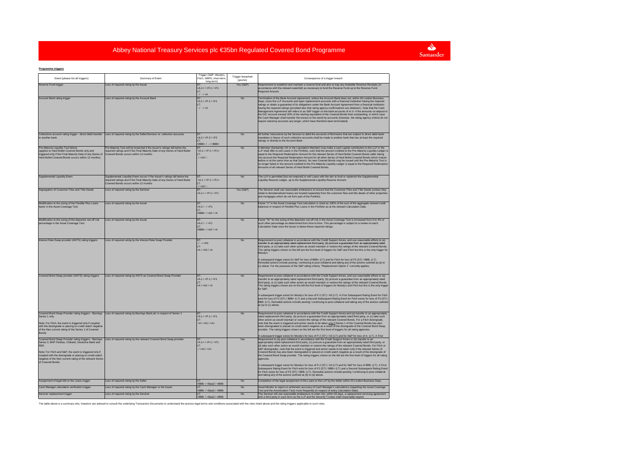# Santander

#### **Programme triggers**

| Event (please list all triggers)                                                                                                                                                                                                                                                                                                 | Summary of Event                                                                                                                                                                                    | Trigger (S&P, Moody's,<br>Fitch, DBRS: short-term<br>long-term)                                                                                                                                                                                                        | Trigger breached<br>(yes/no) | Consequence of a trigger breach                                                                                                                                                                                                                                                                                                                                                                                                                                                                                                                                                                                                                                                                                                                                                                                                                                                                                                                                                                                                                                                                                                                                                                                                                           |
|----------------------------------------------------------------------------------------------------------------------------------------------------------------------------------------------------------------------------------------------------------------------------------------------------------------------------------|-----------------------------------------------------------------------------------------------------------------------------------------------------------------------------------------------------|------------------------------------------------------------------------------------------------------------------------------------------------------------------------------------------------------------------------------------------------------------------------|------------------------------|-----------------------------------------------------------------------------------------------------------------------------------------------------------------------------------------------------------------------------------------------------------------------------------------------------------------------------------------------------------------------------------------------------------------------------------------------------------------------------------------------------------------------------------------------------------------------------------------------------------------------------------------------------------------------------------------------------------------------------------------------------------------------------------------------------------------------------------------------------------------------------------------------------------------------------------------------------------------------------------------------------------------------------------------------------------------------------------------------------------------------------------------------------------------------------------------------------------------------------------------------------------|
| Reserve Fund trigger                                                                                                                                                                                                                                                                                                             | Loss of required rating by the Issuer                                                                                                                                                               | $-4 - 1 < P - 1 < F1$<br>$-1 - 1 < A$                                                                                                                                                                                                                                  | Yes (S&P)                    | Requirement to establish and maintain a reserve fund and also to trap any Available Revenue Receipts (in<br>ccordance with the relevant waterfall) as necessary to fund the Reserve Fund up to the Reserve Fund<br>Required Amount.                                                                                                                                                                                                                                                                                                                                                                                                                                                                                                                                                                                                                                                                                                                                                                                                                                                                                                                                                                                                                       |
| Account Bank rating trigger                                                                                                                                                                                                                                                                                                      | Loss of required rating by the Account Bank                                                                                                                                                         | $-4.1 / P-1 / F1$<br>$-1 - 1 < A$                                                                                                                                                                                                                                      | <b>No</b>                    | Fermination of the Bank Account Agreement, unless the Account Bank does not, within 30 London Business<br>Days, close the LLP Accounts and open replacement accounts with a financial institution having the required<br>ratings or obtain a guarantee of its obligations under the Bank Account Agreement from a financial institution<br>aving the required ratings (provided also that rating agency confirmations are obtained ). Note that the Cash<br>Management Agreement still refers to an S&P trigger on the bank accounts of A-1+ if the amounts on deposit in<br>the GIC Account exceed 20% of the sterling equivalent of the Covered Bonds then outstanding, in which case<br>the Cash Manager shall transfer the excess to the stand-by accounts (however, the rating agency criteria do not<br>equire stand-by accounts any longer, which have therefore been terminated)                                                                                                                                                                                                                                                                                                                                                                  |
| to another bank                                                                                                                                                                                                                                                                                                                  | Collections account rating trigger - direct debit transfer Loss of required rating by the Seller/Servicer re: collection accounts                                                                   | $-2/$ <p-2 <f2<br=""><math>tBBB+ / - / <bbb+< math=""></bbb+<></math></p-2>                                                                                                                                                                                            | <b>No</b>                    | All further instructions by the Servicer to debit the accounts of Borrowers that are subject to direct debit bank<br>nandates in favour of such collection accounts shall be made to another bank that has at least the required<br>atings or directly to the Account Bank.                                                                                                                                                                                                                                                                                                                                                                                                                                                                                                                                                                                                                                                                                                                                                                                                                                                                                                                                                                               |
| Pre-Maturity Liquidity Test failure<br>(applies to Hard Bullet Covered Bonds only and<br>triggered only if the Final Maturity Date of any Series of<br>Hard Bullet Covered Bonds occurs within 12 months)                                                                                                                        | Pre-Maturity Test will be breached if the Issuer's ratings fall below the<br>equired ratings and if the Final Maturity Date of any Series of Hard Bullet<br>Covered Bonds occurs within 12 months   | $<$ A-1 / $<$ P-1 / $<$ F1+<br>$1 < A21 -$                                                                                                                                                                                                                             | <b>No</b>                    | A Member (Santander UK or the Liquidation Member) may make a cash capital contribution to the LLP or the<br>LLP shall offer to sell Loans in the Portfolio, such that the amount credited to the Pre-Maturity Liquidity Ledger is<br>equal to the Required Redemption Amount for the relevant Series of Hard Bullet Covered Bonds (after taking<br>into account the Required Redemption Amount for all other Series of Hard Bullet Covered Bonds which mature<br>before or at the same time as that Series). No new Covered Bonds may be issued until the Pre-Maturity Test is<br>no longer failed or the amount credited to the Pre-Maturity Liquidity Ledger is equal to the Required Redemption<br>Amounts of all relevant Series of Hard Bullet Covered Bonds                                                                                                                                                                                                                                                                                                                                                                                                                                                                                         |
| Supplemental Liquidity Event                                                                                                                                                                                                                                                                                                     | Supplemental Liquidity Event occurs if the Issuer's ratings fall below the<br>required ratings and if the Final Maturity Date of any Series of Hard Bullet<br>Covered Bonds occurs within 12 months | $1 < A21$                                                                                                                                                                                                                                                              | <b>No</b>                    | The LLP is permitted (but not required) to sell Loans with the aim to fund or replenish the Supplemental<br>jquidity Reserve Ledger, up to the Supplemental Liquidity Reserve Amount.                                                                                                                                                                                                                                                                                                                                                                                                                                                                                                                                                                                                                                                                                                                                                                                                                                                                                                                                                                                                                                                                     |
| Segregation of Customer Files and Title Deeds                                                                                                                                                                                                                                                                                    | Loss of required rating by the Servicer                                                                                                                                                             | $A-1+ / P-1 / F1$                                                                                                                                                                                                                                                      | Yes (S&P)                    | The Servicer shall use reasonable endeavours to ensure that the Customer Files and Title Deeds (unless they<br>elate to dematerialised loans) are located separetely from the customer files and title deeds of other properties<br>and mortgages which do not form part of the Portfolio.                                                                                                                                                                                                                                                                                                                                                                                                                                                                                                                                                                                                                                                                                                                                                                                                                                                                                                                                                                |
| Modification to the sizing of the Flexible Plus Loans<br>factor in the Asset Coverage Test                                                                                                                                                                                                                                       | Loss of required rating by the Issuer                                                                                                                                                               | $(A - 2) - C = 51$<br>$c$ BBB+ / $c$ A2 / $c$ A                                                                                                                                                                                                                        | <b>No</b>                    | Factor "V" in the Asset Coverage Test calculation is sized as 100% of the sum of the aggregate cleared credit<br>alances in respect of Flexible Plus Loans in the Portfolio as at the relevant Calculation Date                                                                                                                                                                                                                                                                                                                                                                                                                                                                                                                                                                                                                                                                                                                                                                                                                                                                                                                                                                                                                                           |
| Modification to the sizing of the depositor set-off risk<br>percentage in the Asset Coverage Test                                                                                                                                                                                                                                | Loss of required rating by the Issuer                                                                                                                                                               | $-4 - 21 - 1 < F1$<br>$EBBB+ / AC / CA$                                                                                                                                                                                                                                | No                           | Factor "W" for the sizing of the depositor set-off risk in the Asset Coverage Test is increased from 0 to 4% or<br>such other percentage as determined from time to time. This percentage is subject to a review on each<br>Calculation Date once the Issuer is below these required ratings                                                                                                                                                                                                                                                                                                                                                                                                                                                                                                                                                                                                                                                                                                                                                                                                                                                                                                                                                              |
| Interest Rate Swap provider (ANTS) rating triggers                                                                                                                                                                                                                                                                               | Loss of required rating by the Interest Rate Swap Provider                                                                                                                                          | ST.<br>$1 - 1 \in F1$<br>cA/cA3/cA                                                                                                                                                                                                                                     | <b>No</b>                    | Requirement to post collateral in accordance with the Credit Support Annex, and use reasonable efforts to (a)<br>ransfer to an appropriately rated replacement third party, (b) procure a guarantee from an appropriately rated<br>third party, or (c) take such other action as would maintain or restore the ratings of the relevant Covered Bonds.<br>The rating triggers shown on the left are the first level of triggers for S&P and Fitch but this is the only trigger for<br>Moody's.<br>A subsequent trigger exists for S&P for loss of BBB+ (LT) and for Fitch for loss of F3 (ST) / BBB- (LT).<br>Remedial actions include posting / continuing to post collateral and taking any of the actions outlined at (a) to<br>(c) above. For the purposes of the S&P rating criteria, "Replacement Option 1" currently applies.                                                                                                                                                                                                                                                                                                                                                                                                                       |
| Covered Bond Swap provider (ANTS) rating triggers                                                                                                                                                                                                                                                                                | Loss of required rating by ANTS as Covered Bond Swap Provider                                                                                                                                       | A-1 / <p-1 <f1<br=""><math><math>AA</math> / <math><math>AA</math> / <math><math>A</math></math></math></math></p-1>                                                                                                                                                   | No                           | Requirement to post collateral in accordance with the Credit Support Annex, and use reasonable efforts to (a)<br>transfer to an appropriately rated replacement third party, (b) procure a guarantee from an appropriately rated<br>third party, or (c) take such other action as would maintain or restore the ratings of the relevant Covered Bonds.<br>The rating triggers shown are on the left the first level of triggers for Moody's and Fitch but this is the only trigger<br>for S&P<br>A subsequent trigger exists for Moody's for loss of P-2 (ST) / A3 (LT). A First Subsequent Rating Event for Fitch<br>exist for loss of F2 (ST) / BBB+ (LT) and a Second Subsequent Rating Event for Fitch exists for loss of F3 (ST) /<br>BBB- (LT). Remedial actions include posting / continuing to post collateral and taking any of the actions outlined<br>at (a) to (c) above.                                                                                                                                                                                                                                                                                                                                                                     |
| Series 1 only<br>Note: For Fitch, the event is triggered only if coupled<br>with the downgrade or placing on credit watch negative<br>of the then current rating of the Series 1 of Covered<br><b>Bonds</b>                                                                                                                      | Covered Bond Swap Provider rating triggers - Barclays  Loss of required rating by Barclays Bank plc in respect of Series 1                                                                          | $A - 1 / cP - 1 / cF1$<br>$<$ A/ $<$ A1/ $<$ A+                                                                                                                                                                                                                        | No                           | Requirement to post collateral in accordance with the Credit Support Annex and (a) transfer to an appropriately<br>rated replacement third party, (b) procure a guarantee from an appropriately rated third party, or (c) take such<br>other action as would maintain or restore the ratings of the relevant Covered Bonds. For a Fitch downgrade,<br>note that the event is triggered and action needs to be taken only if Series 1 of the Covered Bonds has also<br>been downgraded or placed on credit watch negative as a result of the downgrade of the Covered Bond Swap<br>provider. The rating triggers shown on the left are the first level of triggers for all rating agencies.                                                                                                                                                                                                                                                                                                                                                                                                                                                                                                                                                                |
| Covered Bond Swap Provider rating triggers - Barclays<br>Series 3, BNP Paribas, Citibank, Deutsche Bank and<br><b>RBS</b><br>Note: For Fitch and S&P, the event is triggered only if<br>coupled with the downgrade or placing on credit watch<br>negative of the then current rating of the relevant Series<br>of Covered Bonds. | Loss of required rating by the relevant Covered Bond Swap provider                                                                                                                                  | $-4 - 1 < P - 1 / < P1$<br>$1 < A11 < A+$                                                                                                                                                                                                                              | Yes                          | A subsequent trigger exists for Moody's for loss of P-2 (ST) / A3 (LT) and for S&P for loss of A- (LT). A First<br>Requirement to (a) post collateral in accordance with the Credit Support Annex or (b) transfer to an<br>appropriately rated replacement third party, (c) procure a guarantee from an appropriately rated third party, or<br>(d) take such other action as would maintain or restore the ratings of the relevant Covered Bonds. For Fitch or<br>S&P downgrades, note that the event is triggered and action needs to be taken only if the relevant Series of<br>Covered Bonds has also been downgraded or placed on credit watch negative as a result of the downgrade of<br>the Covered Bond Swap provider. The rating triggers shown on the left are the first level of triggers for all rating<br>agencies<br>A subsequent trigger exists for Moody's for loss of P-2 (ST) / A3 (LT) and for S&P for loss of BBB- (LT). A First<br>Subsequent Rating Event for Fitch exist for loss of F2 (ST) / BBB+ (LT) and a Second Subsequent Rating Event<br>for Fitch exists for loss of F3 (ST) / BBB- (LT). Remedial actions include posting / continuing to post collateral<br>and taking any of the actions outlined at (b) to (d) above. |
| Assignment of legal title to the Loans trigger                                                                                                                                                                                                                                                                                   | Loss of required rating by the Seller                                                                                                                                                               | BBB- / <baa3 <bbb-<="" td=""><td>No</td><td>Completion of the legal assignment of the Loans to the LLP by the Seller within 20 London Business Days.</td></baa3>                                                                                                       | No                           | Completion of the legal assignment of the Loans to the LLP by the Seller within 20 London Business Days.                                                                                                                                                                                                                                                                                                                                                                                                                                                                                                                                                                                                                                                                                                                                                                                                                                                                                                                                                                                                                                                                                                                                                  |
| Cash Manager calculation verification trigger                                                                                                                                                                                                                                                                                    | Loss of required rating by the Cash Manager or the Issuer                                                                                                                                           | BBB- / <baa3 <bbb-<="" td=""><td>No<br/>No</td><td>Asset Monitor to report on arithmetic accuracy of Cash Manager's calculations (regarding the Asset Coverage<br/>Fest and the Amortisation Test) more frequently (in respect of every Calculation Date).</td></baa3> | No<br>No                     | Asset Monitor to report on arithmetic accuracy of Cash Manager's calculations (regarding the Asset Coverage<br>Fest and the Amortisation Test) more frequently (in respect of every Calculation Date).                                                                                                                                                                                                                                                                                                                                                                                                                                                                                                                                                                                                                                                                                                                                                                                                                                                                                                                                                                                                                                                    |
| Servicer replacement trigger                                                                                                                                                                                                                                                                                                     | Loss of required rating by the Servicer                                                                                                                                                             | <bbb- <baa3="" <bbb-<="" td=""><td></td><td>The Servicer will use reasonable endeavours to enter into, within 60 days, a replacement servicing agreement<br/>with a third party in such form as the LLP and the Security Trustee shall reasonably require.</td></bbb-> |                              | The Servicer will use reasonable endeavours to enter into, within 60 days, a replacement servicing agreement<br>with a third party in such form as the LLP and the Security Trustee shall reasonably require.                                                                                                                                                                                                                                                                                                                                                                                                                                                                                                                                                                                                                                                                                                                                                                                                                                                                                                                                                                                                                                             |

The table above is a summary only. Investors are advised to consult the underlying Transaction Documents to understand the precise legal terms and conditions associated with the roles listed above and the rating triggers a